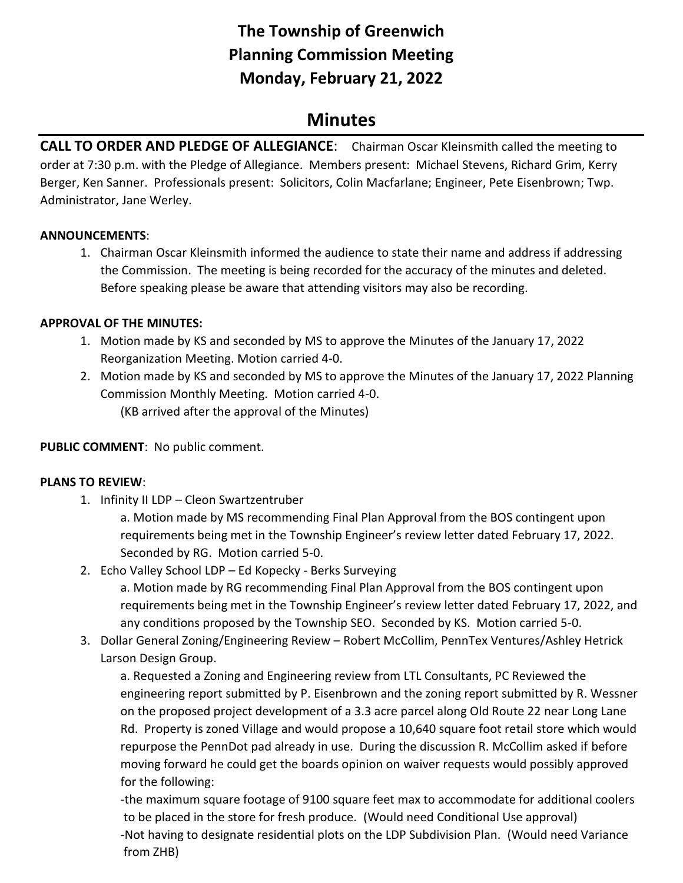# **The Township of Greenwich Planning Commission Meeting Monday, February 21, 2022**

## **Minutes**

**CALL TO ORDER AND PLEDGE OF ALLEGIANCE**: Chairman Oscar Kleinsmith called the meeting to order at 7:30 p.m. with the Pledge of Allegiance. Members present: Michael Stevens, Richard Grim, Kerry Berger, Ken Sanner. Professionals present: Solicitors, Colin Macfarlane; Engineer, Pete Eisenbrown; Twp. Administrator, Jane Werley.

#### **ANNOUNCEMENTS**:

1. Chairman Oscar Kleinsmith informed the audience to state their name and address if addressing the Commission. The meeting is being recorded for the accuracy of the minutes and deleted. Before speaking please be aware that attending visitors may also be recording.

#### **APPROVAL OF THE MINUTES:**

- 1. Motion made by KS and seconded by MS to approve the Minutes of the January 17, 2022 Reorganization Meeting. Motion carried 4-0.
- 2. Motion made by KS and seconded by MS to approve the Minutes of the January 17, 2022 Planning Commission Monthly Meeting. Motion carried 4-0. (KB arrived after the approval of the Minutes)

**PUBLIC COMMENT**: No public comment.

### **PLANS TO REVIEW**:

1. Infinity II LDP – Cleon Swartzentruber

a. Motion made by MS recommending Final Plan Approval from the BOS contingent upon requirements being met in the Township Engineer's review letter dated February 17, 2022. Seconded by RG. Motion carried 5-0.

2. Echo Valley School LDP – Ed Kopecky - Berks Surveying

a. Motion made by RG recommending Final Plan Approval from the BOS contingent upon requirements being met in the Township Engineer's review letter dated February 17, 2022, and any conditions proposed by the Township SEO. Seconded by KS. Motion carried 5-0.

3. Dollar General Zoning/Engineering Review – Robert McCollim, PennTex Ventures/Ashley Hetrick Larson Design Group.

a. Requested a Zoning and Engineering review from LTL Consultants, PC Reviewed the engineering report submitted by P. Eisenbrown and the zoning report submitted by R. Wessner on the proposed project development of a 3.3 acre parcel along Old Route 22 near Long Lane Rd. Property is zoned Village and would propose a 10,640 square foot retail store which would repurpose the PennDot pad already in use. During the discussion R. McCollim asked if before moving forward he could get the boards opinion on waiver requests would possibly approved for the following:

-the maximum square footage of 9100 square feet max to accommodate for additional coolers to be placed in the store for fresh produce. (Would need Conditional Use approval) -Not having to designate residential plots on the LDP Subdivision Plan. (Would need Variance from ZHB)